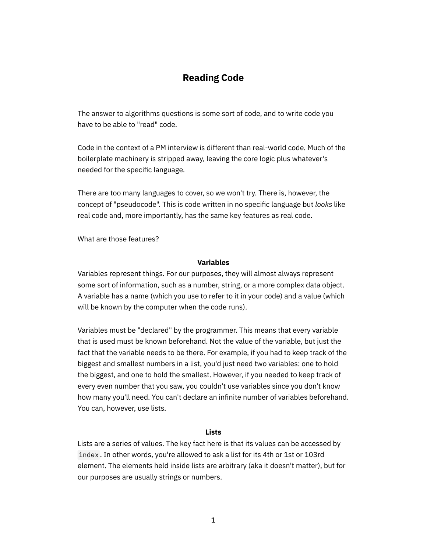# **Reading Code**

The answer to algorithms questions is some sort of code, and to write code you have to be able to "read" code.

Code in the context of a PM interview is different than real-world code. Much of the boilerplate machinery is stripped away, leaving the core logic plus whatever's needed for the specific language.

There are too many languages to cover, so we won't try. There is, however, the concept of "pseudocode". This is code written in no specific language but *looks* like real code and, more importantly, has the same key features as real code.

What are those features?

### **Variables**

Variables represent things. For our purposes, they will almost always represent some sort of information, such as a number, string, or a more complex data object. A variable has a name (which you use to refer to it in your code) and a value (which will be known by the computer when the code runs).

Variables must be "declared" by the programmer. This means that every variable that is used must be known beforehand. Not the value of the variable, but just the fact that the variable needs to be there. For example, if you had to keep track of the biggest and smallest numbers in a list, you'd just need two variables: one to hold the biggest, and one to hold the smallest. However, if you needed to keep track of every even number that you saw, you couldn't use variables since you don't know how many you'll need. You can't declare an infinite number of variables beforehand. You can, however, use lists.

#### **Lists**

Lists are a series of values. The key fact here is that its values can be accessed by index . In other words, you're allowed to ask a list for its 4th or 1st or 103rd element. The elements held inside lists are arbitrary (aka it doesn't matter), but for our purposes are usually strings or numbers.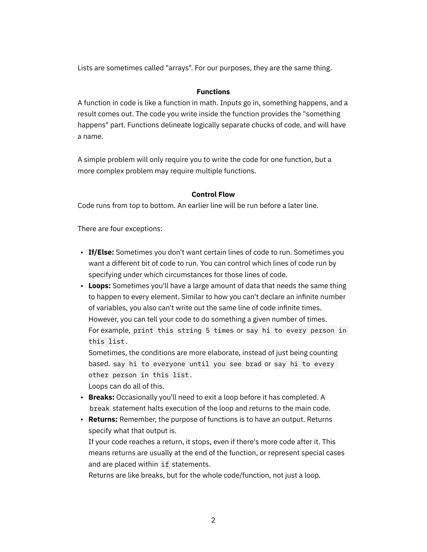Lists are sometimes called "arrays". For our purposes, they are the same thing.

## **Functions**

A function in code is like a function in math. Inputs go in, something happens, and a result comes out. The code you write inside the function provides the "something happens" part. Functions delineate logically separate chucks of code, and will have a name.

A simple problem will only require you to write the code for one function, but a more complex problem may require multiple functions.

### **Control Flow**

Code runs from top to bottom. An earlier line will be run before a later line.

There are four exceptions:

- **If/Else:** Sometimes you don't want certain lines of code to run. Sometimes you want a different bit of code to run. You can control which lines of code run by specifying under which circumstances for those lines of code.
- **Loops:** Sometimes you'll have a large amount of data that needs the same thing to happen to every element. Similar to how you can't declare an infinite number of variables, you also can't write out the same line of code infinite times. However, you can tell your code to do something a given number of times. For example, print this string 5 times or say hi to every person in this list .

Sometimes, the conditions are more elaborate, instead of just being counting based. say hi to everyone until you see brad or say hi to every other person in this list .

Loops can do all of this.

- **Breaks:** Occasionally you'll need to exit a loop before it has completed. A break statement halts execution of the loop and returns to the main code.
- **Returns:** Remember, the purpose of functions is to have an output. Returns specify what that output is.

If your code reaches a return, it stops, even if there's more code after it. This means returns are usually at the end of the function, or represent special cases and are placed within if statements.

Returns are like breaks, but for the whole code/function, not just a loop.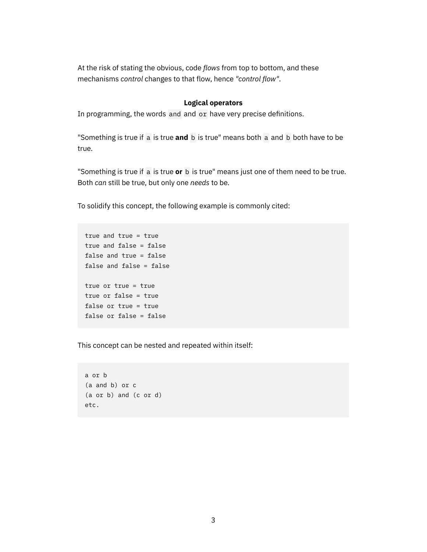At the risk of stating the obvious, code *flows* from top to bottom, and these mechanisms *control* changes to that flow, hence *"control flow"*.

### **Logical operators**

In programming, the words and and or have very precise definitions.

"Something is true if a is true **and** b is true" means both a and b both have to be true.

"Something is true if a is true **or** b is true" means just one of them need to be true. Both *can* still be true, but only one *needs* to be.

To solidify this concept, the following example is commonly cited:

```
true and true = true
true and false = false
false and true = false
false and false = false
true or true = true
true or false = true
false or true = true
false or false = false
```
This concept can be nested and repeated within itself:

```
a or b
(a and b) or c
(a or b) and (c or d)
etc.
```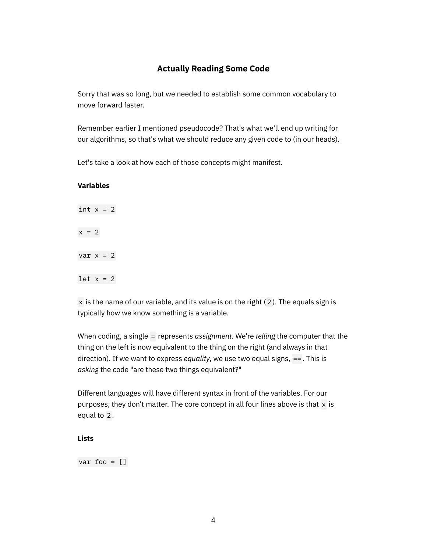# **Actually Reading Some Code**

Sorry that was so long, but we needed to establish some common vocabulary to move forward faster.

Remember earlier I mentioned pseudocode? That's what we'll end up writing for our algorithms, so that's what we should reduce any given code to (in our heads).

Let's take a look at how each of those concepts might manifest.

# **Variables**

int  $x = 2$  $x = 2$  $var x = 2$ let  $x = 2$ 

 $x$  is the name of our variable, and its value is on the right (2). The equals sign is typically how we know something is a variable.

When coding, a single = represents *assignment*. We're *telling* the computer that the thing on the left is now equivalent to the thing on the right (and always in that direction). If we want to express *equality*, we use two equal signs, == . This is *asking* the code "are these two things equivalent?"

Different languages will have different syntax in front of the variables. For our purposes, they don't matter. The core concept in all four lines above is that  $x$  is equal to 2 .

# **Lists**

var foo  $= []$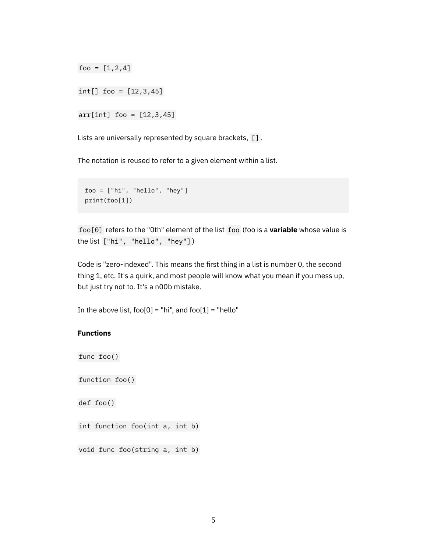foo =  $[1, 2, 4]$ 

int[] foo = [12,3,45]

 $arr[int]$  foo =  $[12, 3, 45]$ 

Lists are universally represented by square brackets, [].

The notation is reused to refer to a given element within a list.

```
foo = ["hi", "hello", "hey"]
print(foo[1])
```
foo[0] refers to the "0th" element of the list foo (foo is a **variable** whose value is the list ["hi", "hello", "hey"] )

Code is "zero-indexed". This means the first thing in a list is number 0, the second thing 1, etc. It's a quirk, and most people will know what you mean if you mess up, but just try not to. It's a n00b mistake.

In the above list, foo[0] = "hi", and foo[1] = "hello"

### **Functions**

```
func foo()
```
function foo()

def foo()

int function foo(int a, int b)

void func foo(string a, int b)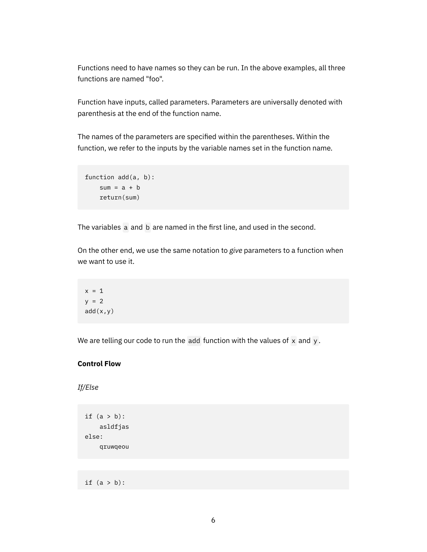Functions need to have names so they can be run. In the above examples, all three functions are named "foo".

Function have inputs, called parameters. Parameters are universally denoted with parenthesis at the end of the function name.

The names of the parameters are specified within the parentheses. Within the function, we refer to the inputs by the variable names set in the function name.

```
function add(a, b):
    sum = a + b return(sum)
```
The variables a and b are named in the first line, and used in the second.

On the other end, we use the same notation to *give* parameters to a function when we want to use it.

```
x = 1y = 2add(x,y)
```
We are telling our code to run the add function with the values of  $x$  and  $y$ .

### **Control Flow**

*If/Else*

```
if (a > b):
     asldfjas
else:
     qruwqeou
```
if  $(a > b)$ :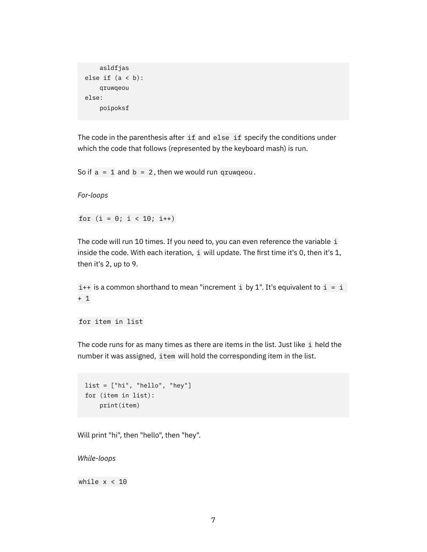```
 asldfjas
else if (a < b):
     qruwqeou
else:
     poipoksf
```
The code in the parenthesis after if and else if specify the conditions under which the code that follows (represented by the keyboard mash) is run.

So if  $a = 1$  and  $b = 2$ , then we would run qruwqeou.

*For-loops*

for  $(i = 0; i < 10; i++)$ 

The code will run 10 times. If you need to, you can even reference the variable i inside the code. With each iteration, i will update. The first time it's 0, then it's 1, then it's 2, up to 9.

 $i++$  is a common shorthand to mean "increment i by 1". It's equivalent to  $i = i$ + 1

for item in list

The code runs for as many times as there are items in the list. Just like i held the number it was assigned, item will hold the corresponding item in the list.

```
list = ['hi", 'hello", 'hey']for (item in list):
     print(item)
```
Will print "hi", then "hello", then "hey".

*While-loops*

while  $x < 10$